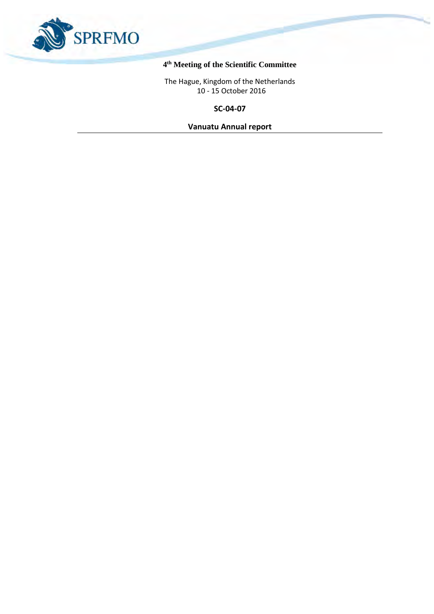

#### **4 th Meeting of the Scientific Committee**

The Hague, Kingdom of the Netherlands 10 - 15 October 2016

**SC-04-07**

**Vanuatu Annual report**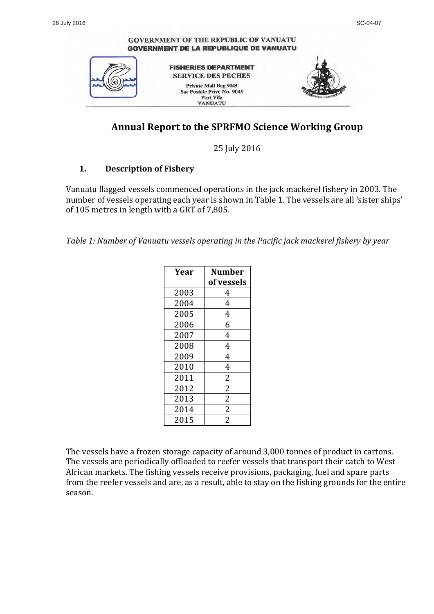#### **GOVERNMENT OF THE REPUBLIC OF VANUATU GOVERNMENT DE LA REPUBLIQUE DE VANUATU FISHERIES DEPARTMENT SERVICE DES PECHES Private Mail Bag 9045** Sac Postale Prive No. 9045 Port Vila **VANUATU**

# **Annual Report to the SPRFMO Science Working Group**

## 25 July 2016

# 1. **Description of Fishery**

Vanuatu flagged vessels commenced operations in the jack mackerel fishery in 2003. The number of vessels operating each year is shown in Table 1. The vessels are all 'sister ships' of 105 metres in length with a GRT of 7,805.

*Table 1:* Number of Vanuatu vessels operating in the Pacific jack mackerel fishery by year

| Year | <b>Number</b>  |  |  |
|------|----------------|--|--|
|      | of vessels     |  |  |
| 2003 | 4              |  |  |
| 2004 | 4              |  |  |
| 2005 | 4              |  |  |
| 2006 | 6              |  |  |
| 2007 | 4              |  |  |
| 2008 | 4              |  |  |
| 2009 | 4              |  |  |
| 2010 | 4              |  |  |
| 2011 | $\overline{2}$ |  |  |
| 2012 | $\overline{2}$ |  |  |
| 2013 | $\overline{2}$ |  |  |
| 2014 | $\overline{2}$ |  |  |
| 2015 | $\overline{2}$ |  |  |

The vessels have a frozen storage capacity of around 3,000 tonnes of product in cartons. The vessels are periodically offloaded to reefer vessels that transport their catch to West African markets. The fishing vessels receive provisions, packaging, fuel and spare parts from the reefer vessels and are, as a result, able to stay on the fishing grounds for the entire season.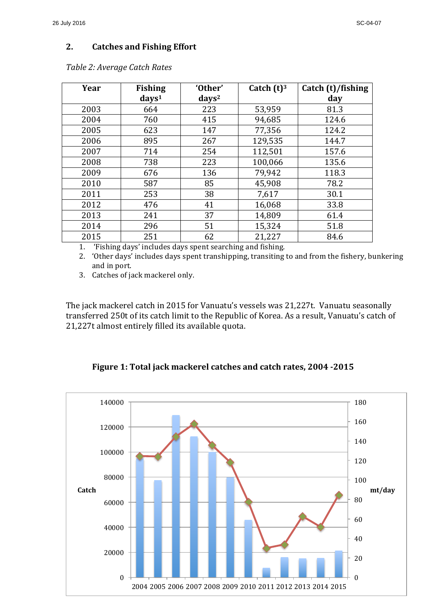# **2.** Catches and Fishing Effort

| Year | <b>Fishing</b><br>$\frac{days^1}{x}$ | 'Other'<br>$\frac{days^2}{x^2}$ | Catch $(t)^3$ | Catch (t)/fishing<br>day |
|------|--------------------------------------|---------------------------------|---------------|--------------------------|
| 2003 | 664                                  | 223                             | 53,959        | 81.3                     |
| 2004 | 760                                  | 415                             | 94,685        | 124.6                    |
| 2005 | 623                                  | 147                             | 77,356        | 124.2                    |
| 2006 | 895                                  | 267                             | 129,535       | 144.7                    |
| 2007 | 714                                  | 254                             | 112,501       | 157.6                    |
| 2008 | 738                                  | 223                             | 100,066       | 135.6                    |
| 2009 | 676                                  | 136                             | 79,942        | 118.3                    |
| 2010 | 587                                  | 85                              | 45,908        | 78.2                     |
| 2011 | 253                                  | 38                              | 7,617         | 30.1                     |
| 2012 | 476                                  | 41                              | 16,068        | 33.8                     |
| 2013 | 241                                  | 37                              | 14,809        | 61.4                     |
| 2014 | 296                                  | 51                              | 15,324        | 51.8                     |
| 2015 | 251                                  | 62                              | 21,227        | 84.6                     |

Table 2: Average Catch Rates

1. 'Fishing days' includes days spent searching and fishing.

2. 'Other days' includes days spent transhipping, transiting to and from the fishery, bunkering and in port.

3. Catches of jack mackerel only.

The jack mackerel catch in 2015 for Vanuatu's vessels was 21,227t. Vanuatu seasonally transferred 250t of its catch limit to the Republic of Korea. As a result, Vanuatu's catch of 21,227t almost entirely filled its available quota.

Figure 1: Total jack mackerel catches and catch rates, 2004 -2015